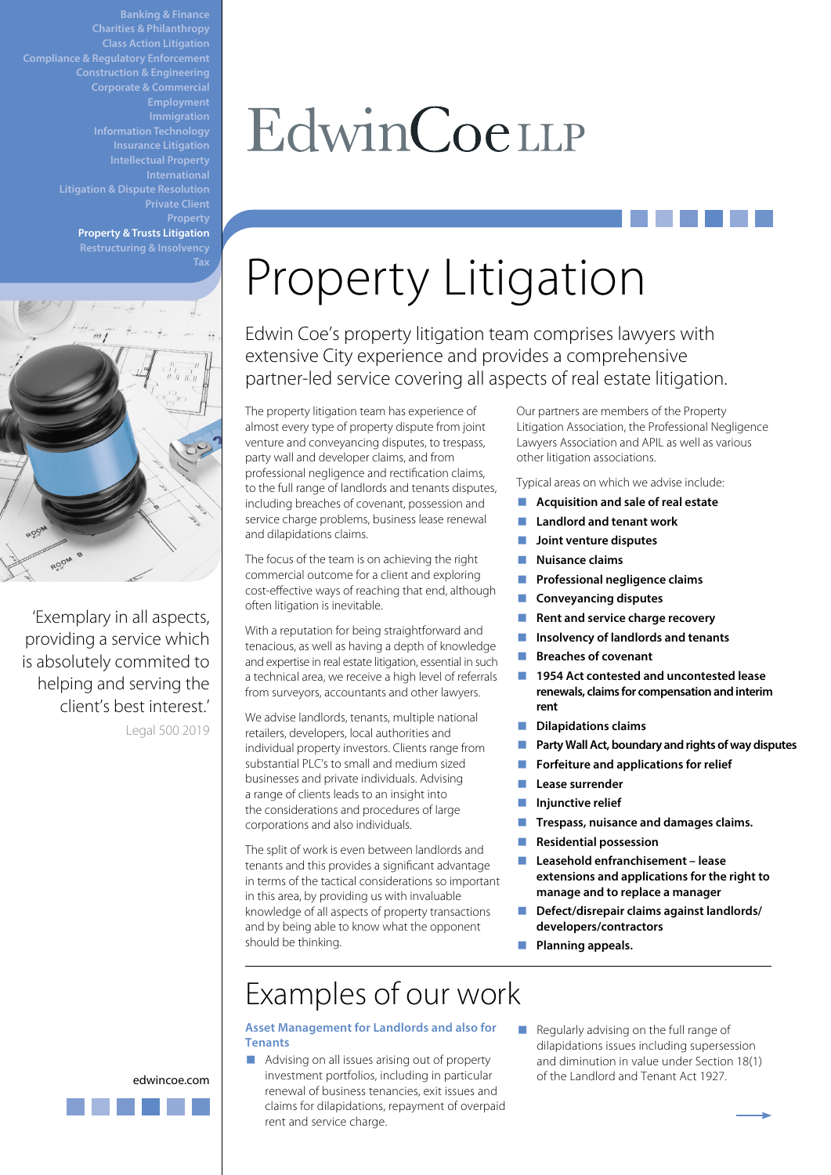**Banking & Finance Charities & Philanthropy Class Action Litigation Compliance & Regulatory Enforcement Employment Information Technology Insurance Litigation [Property & Trusts Litigation](https://www.edwincoe.com/our-expertise/property-litigation/)** 



'Exemplary in all aspects, providing a service which is absolutely commited to helping and serving the client's best interest.' Legal 500 2019

EdwinCoeLLP

# [Property](https://www.edwincoe.com/our-expertise/property-litigation/) Litigation

Edwin Coe's property litigation team comprises lawyers with extensive City experience and provides a comprehensive partner-led service covering all aspects of real estate litigation.

The property litigation team has experience of almost every type of property dispute from joint venture and conveyancing disputes, to trespass, party wall and developer claims, and from professional negligence and rectification claims, to the full range of landlords and tenants disputes, including breaches of covenant, possession and service charge problems, business lease renewal and dilapidations claims.

The focus of the team is on achieving the right commercial outcome for a client and exploring cost-effective ways of reaching that end, although often litigation is inevitable.

With a reputation for being straightforward and tenacious, as well as having a depth of knowledge and expertise in real estate litigation, essential in such a technical area, we receive a high level of referrals from surveyors, accountants and other lawyers.

We advise landlords, tenants, multiple national retailers, developers, local authorities and individual property investors. Clients range from substantial PLC's to small and medium sized businesses and private individuals. Advising a range of clients leads to an insight into the considerations and procedures of large corporations and also individuals.

The split of work is even between landlords and tenants and this provides a significant advantage in terms of the tactical considerations so important in this area, by providing us with invaluable knowledge of all aspects of property transactions and by being able to know what the opponent should be thinking.

Our partners are members of the Property Litigation Association, the Professional Negligence Lawyers Association and APIL as well as various other litigation associations.

Typical areas on which we advise include:

- **Acquisition and sale of real estate**
- **Landlord and tenant work**
- **Joint venture disputes**
- **Nuisance claims**
- **Professional negligence claims**
- **Conveyancing disputes**
- **Rent and service charge recovery**
- **Insolvency of landlords and tenants**
- **Breaches of covenant**
- **1954 Act contested and uncontested lease renewals, claims for compensation and interim rent**
- **Dilapidations claims**
- **Party Wall Act, boundary and rights of way disputes**
- **Forfeiture and applications for relief**
- **Lease surrender**
- **Injunctive relief**
- **Trespass, nuisance and damages claims.**
- **Residential possession**

 **Leasehold enfranchisement – lease extensions and applications for the right to manage and to replace a manager**

- **Defect/disrepair claims against landlords/ developers/contractors**
- **Planning appeals.**

# Examples of our work

# **Asset Management for Landlords and also for Tenants**

- Advising on all issues arising out of property investment portfolios, including in particular renewal of business tenancies, exit issues and claims for dilapidations, repayment of overpaid rent and service charge.
- Regularly advising on the full range of dilapidations issues including supersession and diminution in value under Section 18(1) of the Landlord and Tenant Act 1927.

[edwincoe.com](https://www.edwincoe.com/)